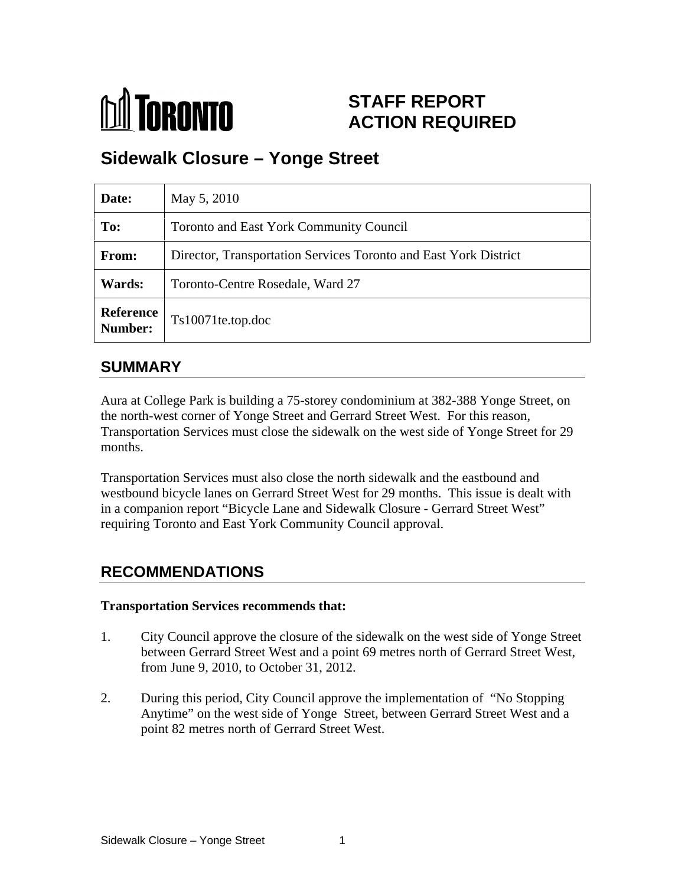

# **STAFF REPORT ACTION REQUIRED**

# **Sidewalk Closure – Yonge Street**

| Date:                       | May 5, 2010                                                      |
|-----------------------------|------------------------------------------------------------------|
| To:                         | Toronto and East York Community Council                          |
| From:                       | Director, Transportation Services Toronto and East York District |
| <b>Wards:</b>               | Toronto-Centre Rosedale, Ward 27                                 |
| <b>Reference</b><br>Number: | $Ts10071$ te.top.doc                                             |

### **SUMMARY**

Aura at College Park is building a 75-storey condominium at 382-388 Yonge Street, on the north-west corner of Yonge Street and Gerrard Street West. For this reason, Transportation Services must close the sidewalk on the west side of Yonge Street for 29 months.

Transportation Services must also close the north sidewalk and the eastbound and westbound bicycle lanes on Gerrard Street West for 29 months. This issue is dealt with in a companion report "Bicycle Lane and Sidewalk Closure - Gerrard Street West" requiring Toronto and East York Community Council approval.

## **RECOMMENDATIONS**

#### **Transportation Services recommends that:**

- 1. City Council approve the closure of the sidewalk on the west side of Yonge Street between Gerrard Street West and a point 69 metres north of Gerrard Street West, from June 9, 2010, to October 31, 2012.
- 2. During this period, City Council approve the implementation of "No Stopping Anytime" on the west side of Yonge Street, between Gerrard Street West and a point 82 metres north of Gerrard Street West.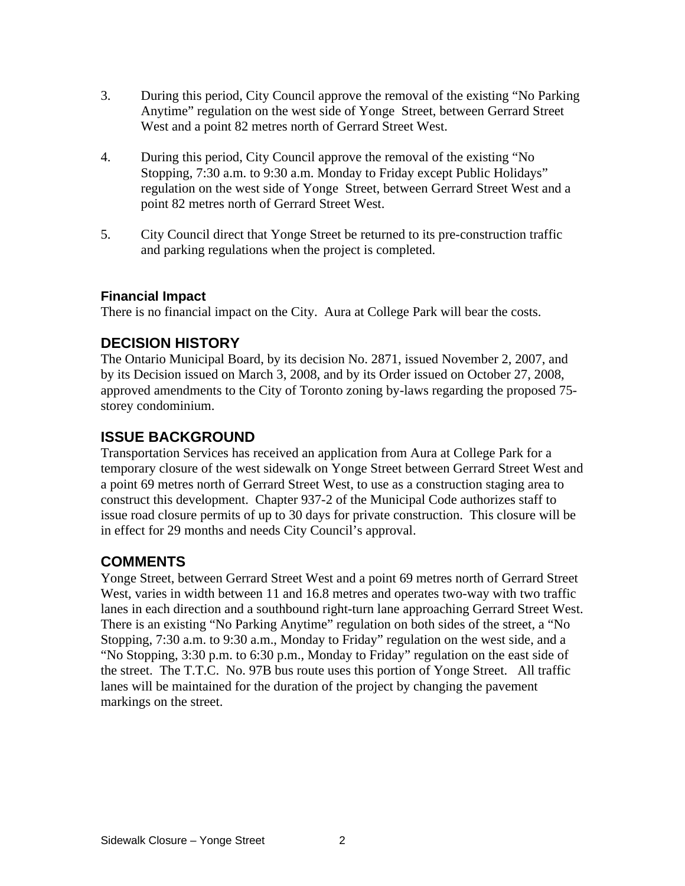- 3. During this period, City Council approve the removal of the existing "No Parking Anytime" regulation on the west side of Yonge Street, between Gerrard Street West and a point 82 metres north of Gerrard Street West.
- 4. During this period, City Council approve the removal of the existing "No Stopping, 7:30 a.m. to 9:30 a.m. Monday to Friday except Public Holidays" regulation on the west side of Yonge Street, between Gerrard Street West and a point 82 metres north of Gerrard Street West.
- 5. City Council direct that Yonge Street be returned to its pre-construction traffic and parking regulations when the project is completed.

#### **Financial Impact**

There is no financial impact on the City. Aura at College Park will bear the costs.

### **DECISION HISTORY**

The Ontario Municipal Board, by its decision No. 2871, issued November 2, 2007, and by its Decision issued on March 3, 2008, and by its Order issued on October 27, 2008, approved amendments to the City of Toronto zoning by-laws regarding the proposed 75 storey condominium.

#### **ISSUE BACKGROUND**

Transportation Services has received an application from Aura at College Park for a temporary closure of the west sidewalk on Yonge Street between Gerrard Street West and a point 69 metres north of Gerrard Street West, to use as a construction staging area to construct this development. Chapter 937-2 of the Municipal Code authorizes staff to issue road closure permits of up to 30 days for private construction. This closure will be in effect for 29 months and needs City Council's approval.

### **COMMENTS**

Yonge Street, between Gerrard Street West and a point 69 metres north of Gerrard Street West, varies in width between 11 and 16.8 metres and operates two-way with two traffic lanes in each direction and a southbound right-turn lane approaching Gerrard Street West. There is an existing "No Parking Anytime"regulation on both sides of the street, a "No Stopping, 7:30 a.m. to 9:30 a.m., Monday to Friday" regulation on the west side, and a "No Stopping, 3:30 p.m. to 6:30 p.m., Monday to Friday" regulation on the east side of the street. The T.T.C. No. 97B bus route uses this portion of Yonge Street. All traffic lanes will be maintained for the duration of the project by changing the pavement markings on the street.